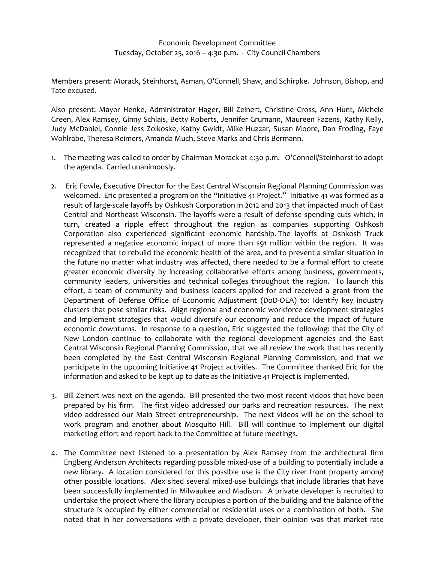Members present: Morack, Steinhorst, Asman, O'Connell, Shaw, and Schirpke. Johnson, Bishop, and Tate excused.

Also present: Mayor Henke, Administrator Hager, Bill Zeinert, Christine Cross, Ann Hunt, Michele Green, Alex Ramsey, Ginny Schlais, Betty Roberts, Jennifer Grumann, Maureen Fazens, Kathy Kelly, Judy McDaniel, Connie Jess Zolkoske, Kathy Gwidt, Mike Huzzar, Susan Moore, Dan Froding, Faye Wohlrabe, Theresa Reimers, Amanda Much, Steve Marks and Chris Bermann.

- 1. The meeting was called to order by Chairman Morack at 4:30 p.m. O'Connell/Steinhorst to adopt the agenda. Carried unanimously.
- 2. Eric Fowle, Executive Director for the East Central Wisconsin Regional Planning Commission was welcomed. Eric presented a program on the "Initiative 41 Project." Initiative 41 was formed as a result of large-scale layoffs by Oshkosh Corporation in 2012 and 2013 that impacted much of East Central and Northeast Wisconsin. The layoffs were a result of defense spending cuts which, in turn, created a ripple effect throughout the region as companies supporting Oshkosh Corporation also experienced significant economic hardship. The layoffs at Oshkosh Truck represented a negative economic impact of more than \$91 million within the region. It was recognized that to rebuild the economic health of the area, and to prevent a similar situation in the future no matter what industry was affected, there needed to be a formal effort to create greater economic diversity by increasing collaborative efforts among business, governments, community leaders, universities and technical colleges throughout the region. To launch this effort, a team of community and business leaders applied for and received a grant from the Department of Defense Office of Economic Adjustment (DoD-OEA) to: Identify key industry clusters that pose similar risks. Align regional and economic workforce development strategies and Implement strategies that would diversify our economy and reduce the impact of future economic downturns. In response to a question, Eric suggested the following: that the City of New London continue to collaborate with the regional development agencies and the East Central Wisconsin Regional Planning Commission, that we all review the work that has recently been completed by the East Central Wisconsin Regional Planning Commission, and that we participate in the upcoming Initiative 41 Project activities. The Committee thanked Eric for the information and asked to be kept up to date as the Initiative 41 Project is implemented.
- 3. Bill Zeinert was next on the agenda. Bill presented the two most recent videos that have been prepared by his firm. The first video addressed our parks and recreation resources. The next video addressed our Main Street entrepreneurship. The next videos will be on the school to work program and another about Mosquito Hill. Bill will continue to implement our digital marketing effort and report back to the Committee at future meetings.
- 4. The Committee next listened to a presentation by Alex Ramsey from the architectural firm Engberg Anderson Architects regarding possible mixed-use of a building to potentially include a new library. A location considered for this possible use is the City river front property among other possible locations. Alex sited several mixed-use buildings that include libraries that have been successfully implemented in Milwaukee and Madison. A private developer is recruited to undertake the project where the library occupies a portion of the building and the balance of the structure is occupied by either commercial or residential uses or a combination of both. She noted that in her conversations with a private developer, their opinion was that market rate